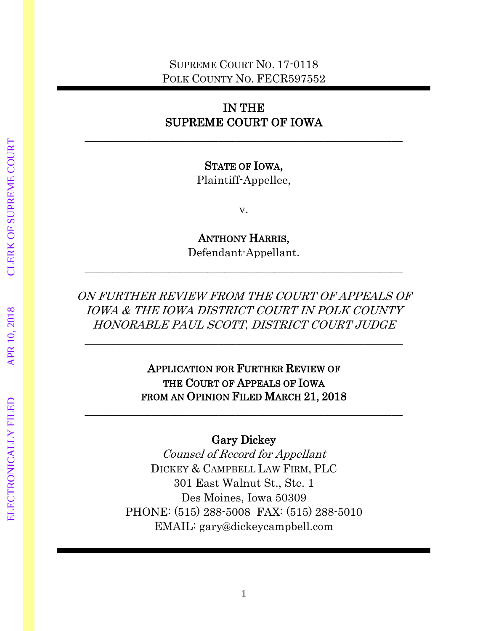## SUPREME COURT NO. 17-0118 POLK COUNTY NO. FECR597552

## IN THE SUPREME COURT OF IOWA

 $\_$  , and the set of the set of the set of the set of the set of the set of the set of the set of the set of the set of the set of the set of the set of the set of the set of the set of the set of the set of the set of th

### STATE OF IOWA,

Plaintiff-Appellee,

v.

ANTHONY HARRIS,

Defendant-Appellant.  $\_$  , and the set of the set of the set of the set of the set of the set of the set of the set of the set of the set of the set of the set of the set of the set of the set of the set of the set of the set of the set of th

ON FURTHER REVIEW FROM THE COURT OF APPEALS OF IOWA & THE IOWA DISTRICT COURT IN POLK COUNTY HONORABLE PAUL SCOTT, DISTRICT COURT JUDGE

 $\_$  , and the set of the set of the set of the set of the set of the set of the set of the set of the set of the set of the set of the set of the set of the set of the set of the set of the set of the set of the set of th

APPLICATION FOR FURTHER REVIEW OF THE COURT OF APPEALS OF IOWA FROM AN OPINION FILED MARCH 21, 2018

## Gary Dickey

 $\_$  , and the set of the set of the set of the set of the set of the set of the set of the set of the set of the set of the set of the set of the set of the set of the set of the set of the set of the set of the set of th

Counsel of Record for Appellant DICKEY & CAMPBELL LAW FIRM, PLC 301 East Walnut St., Ste. 1 Des Moines, Iowa 50309 PHONE: (515) 288-5008 FAX: (515) 288-5010 EMAIL: gary@dickeycampbell.com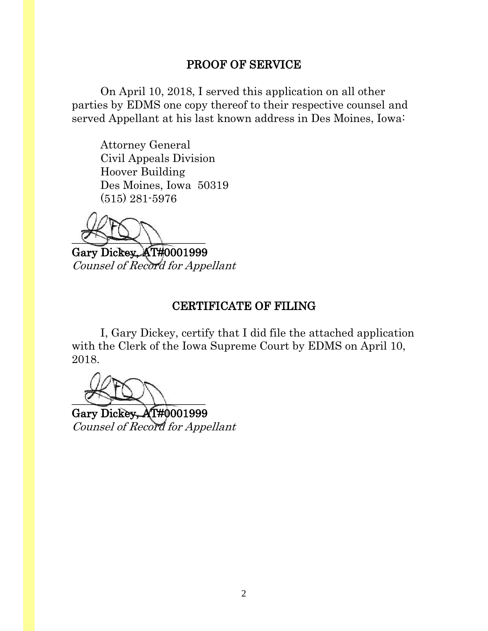### PROOF OF SERVICE

On April 10, 2018, I served this application on all other parties by EDMS one copy thereof to their respective counsel and served Appellant at his last known address in Des Moines, Iowa:

Attorney General Civil Appeals Division Hoover Building Des Moines, Iowa 50319 (515) 281-5976

 $\sim$ 

Gary Dickey, AT#0001999 Counsel of Record for Appellant

### CERTIFICATE OF FILING

I, Gary Dickey, certify that I did file the attached application with the Clerk of the Iowa Supreme Court by EDMS on April 10, 2018.

 $\sim$ 

Gary Dickey, AT#0001999 Counsel of Record for Appellant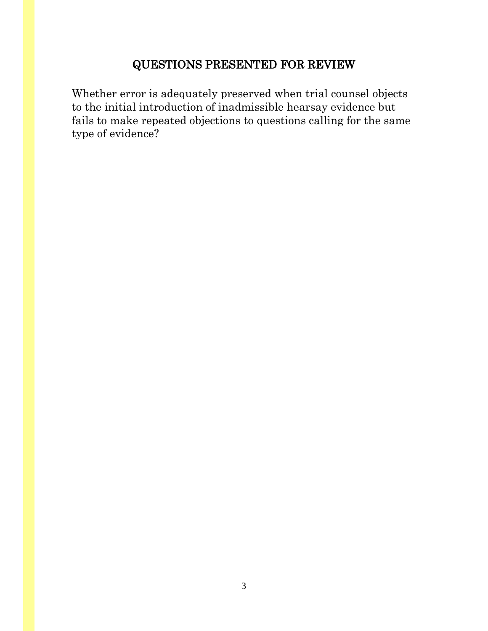# QUESTIONS PRESENTED FOR REVIEW

Whether error is adequately preserved when trial counsel objects to the initial introduction of inadmissible hearsay evidence but fails to make repeated objections to questions calling for the same type of evidence?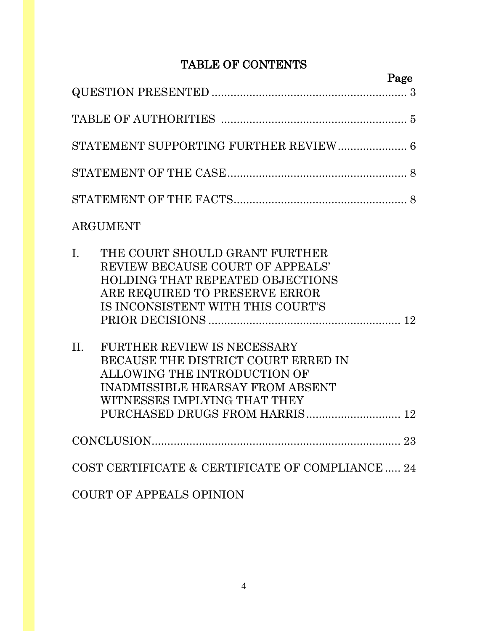# TABLE OF CONTENTS

|             |                                                                                                                                                                                      | Page |
|-------------|--------------------------------------------------------------------------------------------------------------------------------------------------------------------------------------|------|
|             |                                                                                                                                                                                      |      |
|             |                                                                                                                                                                                      |      |
|             | STATEMENT SUPPORTING FURTHER REVIEW 6                                                                                                                                                |      |
|             |                                                                                                                                                                                      |      |
|             |                                                                                                                                                                                      |      |
|             | ARGUMENT                                                                                                                                                                             |      |
| $I_{\cdot}$ | THE COURT SHOULD GRANT FURTHER<br>REVIEW BECAUSE COURT OF APPEALS'<br><b>HOLDING THAT REPEATED OBJECTIONS</b><br>ARE REQUIRED TO PRESERVE ERROR<br>IS INCONSISTENT WITH THIS COURT'S |      |
| II.         | <b>FURTHER REVIEW IS NECESSARY</b><br>BECAUSE THE DISTRICT COURT ERRED IN<br>ALLOWING THE INTRODUCTION OF<br><b>INADMISSIBLE HEARSAY FROM ABSENT</b><br>WITNESSES IMPLYING THAT THEY | 12   |
|             |                                                                                                                                                                                      |      |
|             | COST CERTIFICATE & CERTIFICATE OF COMPLIANCE  24                                                                                                                                     |      |
|             | <b>COURT OF APPEALS OPINION</b>                                                                                                                                                      |      |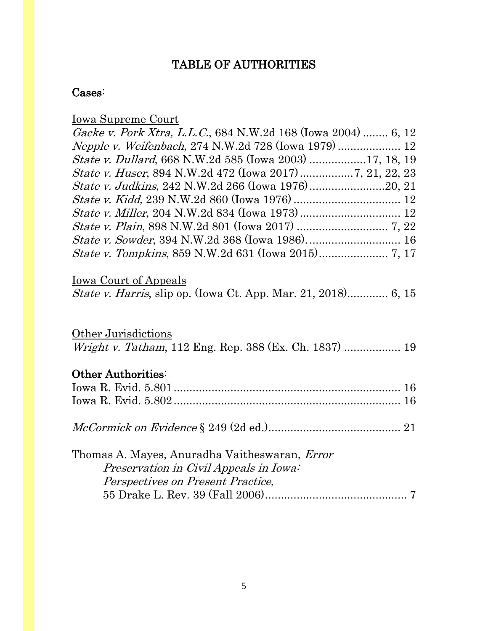# TABLE OF AUTHORITIES

## Cases:

| Iowa Supreme Court                                                    |
|-----------------------------------------------------------------------|
| Gacke v. Pork Xtra, L.L.C., 684 N.W.2d 168 (Iowa 2004)  6, 12         |
| Nepple v. Weifenbach, 274 N.W.2d 728 (Iowa 1979) 12                   |
| <i>State v. Dullard</i> , 668 N.W.2d 585 (Iowa 2003) 17, 18, 19       |
|                                                                       |
|                                                                       |
|                                                                       |
|                                                                       |
|                                                                       |
|                                                                       |
|                                                                       |
|                                                                       |
| <u>Iowa Court of Appeals</u>                                          |
| <i>State v. Harris</i> , slip op. (Iowa Ct. App. Mar. 21, 2018) 6, 15 |
|                                                                       |
| Other Jurisdictions                                                   |
| Wright v. Tatham, 112 Eng. Rep. 388 (Ex. Ch. 1837)  19                |
|                                                                       |
| Other Authorities:                                                    |
|                                                                       |
|                                                                       |
|                                                                       |
|                                                                       |
|                                                                       |
| Thomas A. Mayes, Anuradha Vaitheswaran, <i>Error</i>                  |
| Preservation in Civil Appeals in Iowa:                                |
| Perspectives on Present Practice,                                     |
|                                                                       |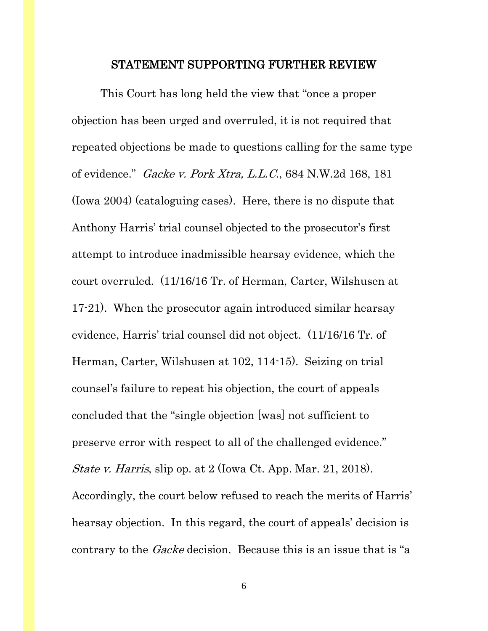#### STATEMENT SUPPORTING FURTHER REVIEW

This Court has long held the view that "once a proper objection has been urged and overruled, it is not required that repeated objections be made to questions calling for the same type of evidence." Gacke v. Pork Xtra, L.L.C., 684 N.W.2d 168, 181 (Iowa 2004) (cataloguing cases). Here, there is no dispute that Anthony Harris' trial counsel objected to the prosecutor's first attempt to introduce inadmissible hearsay evidence, which the court overruled. (11/16/16 Tr. of Herman, Carter, Wilshusen at 17-21). When the prosecutor again introduced similar hearsay evidence, Harris' trial counsel did not object. (11/16/16 Tr. of Herman, Carter, Wilshusen at 102, 114-15). Seizing on trial counsel's failure to repeat his objection, the court of appeals concluded that the "single objection [was] not sufficient to preserve error with respect to all of the challenged evidence." State v. Harris, slip op. at 2 (Iowa Ct. App. Mar. 21, 2018). Accordingly, the court below refused to reach the merits of Harris' hearsay objection. In this regard, the court of appeals' decision is contrary to the *Gacke* decision. Because this is an issue that is "a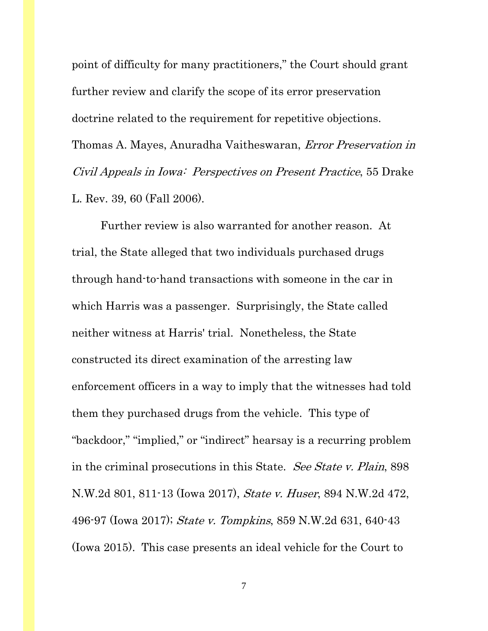point of difficulty for many practitioners," the Court should grant further review and clarify the scope of its error preservation doctrine related to the requirement for repetitive objections. Thomas A. Mayes, Anuradha Vaitheswaran, Error Preservation in Civil Appeals in Iowa: Perspectives on Present Practice, 55 Drake L. Rev. 39, 60 (Fall 2006).

Further review is also warranted for another reason. At trial, the State alleged that two individuals purchased drugs through hand-to-hand transactions with someone in the car in which Harris was a passenger. Surprisingly, the State called neither witness at Harris' trial. Nonetheless, the State constructed its direct examination of the arresting law enforcement officers in a way to imply that the witnesses had told them they purchased drugs from the vehicle. This type of "backdoor," "implied," or "indirect" hearsay is a recurring problem in the criminal prosecutions in this State. See State v. Plain, 898 N.W.2d 801, 811-13 (Iowa 2017), State v. Huser, 894 N.W.2d 472, 496-97 (Iowa 2017); State v. Tompkins, 859 N.W.2d 631, 640-43 (Iowa 2015). This case presents an ideal vehicle for the Court to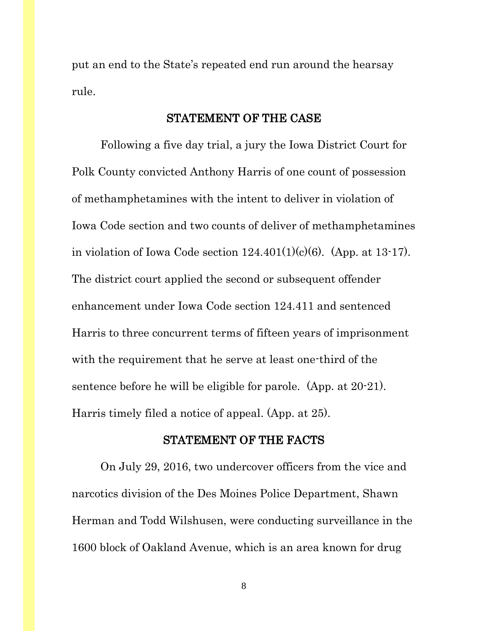put an end to the State's repeated end run around the hearsay rule.

#### STATEMENT OF THE CASE

Following a five day trial, a jury the Iowa District Court for Polk County convicted Anthony Harris of one count of possession of methamphetamines with the intent to deliver in violation of Iowa Code section and two counts of deliver of methamphetamines in violation of Iowa Code section  $124.401(1)(c)(6)$ . (App. at 13-17). The district court applied the second or subsequent offender enhancement under Iowa Code section 124.411 and sentenced Harris to three concurrent terms of fifteen years of imprisonment with the requirement that he serve at least one-third of the sentence before he will be eligible for parole. (App. at 20-21). Harris timely filed a notice of appeal. (App. at 25).

### STATEMENT OF THE FACTS

On July 29, 2016, two undercover officers from the vice and narcotics division of the Des Moines Police Department, Shawn Herman and Todd Wilshusen, were conducting surveillance in the 1600 block of Oakland Avenue, which is an area known for drug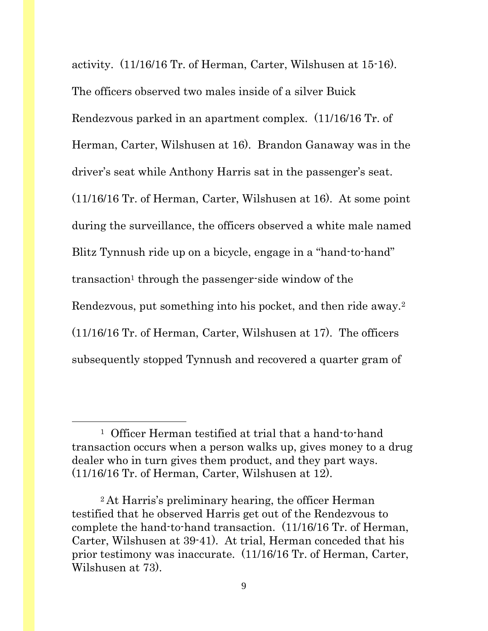activity. (11/16/16 Tr. of Herman, Carter, Wilshusen at 15-16). The officers observed two males inside of a silver Buick Rendezvous parked in an apartment complex. (11/16/16 Tr. of Herman, Carter, Wilshusen at 16). Brandon Ganaway was in the driver's seat while Anthony Harris sat in the passenger's seat. (11/16/16 Tr. of Herman, Carter, Wilshusen at 16). At some point during the surveillance, the officers observed a white male named Blitz Tynnush ride up on a bicycle, engage in a "hand-to-hand" transaction<sup>1</sup> through the passenger-side window of the Rendezvous, put something into his pocket, and then ride away.<sup>2</sup> (11/16/16 Tr. of Herman, Carter, Wilshusen at 17). The officers subsequently stopped Tynnush and recovered a quarter gram of

 $\overline{\phantom{a}}$ 

<sup>1</sup> Officer Herman testified at trial that a hand-to-hand transaction occurs when a person walks up, gives money to a drug dealer who in turn gives them product, and they part ways. (11/16/16 Tr. of Herman, Carter, Wilshusen at 12).

<sup>2</sup> At Harris's preliminary hearing, the officer Herman testified that he observed Harris get out of the Rendezvous to complete the hand-to-hand transaction. (11/16/16 Tr. of Herman, Carter, Wilshusen at 39-41). At trial, Herman conceded that his prior testimony was inaccurate. (11/16/16 Tr. of Herman, Carter, Wilshusen at 73).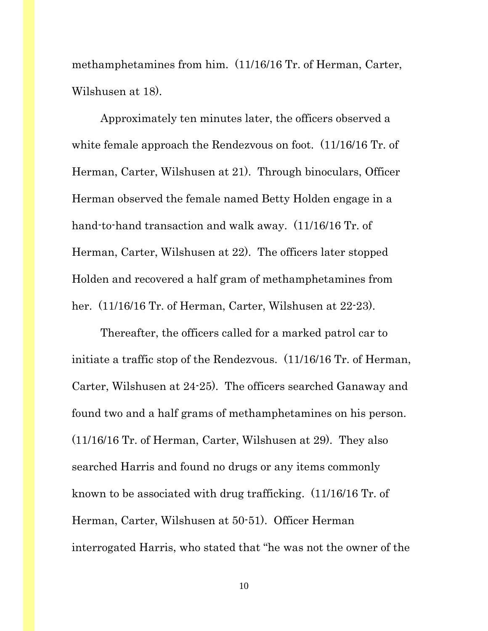methamphetamines from him. (11/16/16 Tr. of Herman, Carter, Wilshusen at 18).

Approximately ten minutes later, the officers observed a white female approach the Rendezvous on foot. (11/16/16 Tr. of Herman, Carter, Wilshusen at 21). Through binoculars, Officer Herman observed the female named Betty Holden engage in a hand-to-hand transaction and walk away. (11/16/16 Tr. of Herman, Carter, Wilshusen at 22). The officers later stopped Holden and recovered a half gram of methamphetamines from her. (11/16/16 Tr. of Herman, Carter, Wilshusen at 22-23).

Thereafter, the officers called for a marked patrol car to initiate a traffic stop of the Rendezvous. (11/16/16 Tr. of Herman, Carter, Wilshusen at 24-25). The officers searched Ganaway and found two and a half grams of methamphetamines on his person. (11/16/16 Tr. of Herman, Carter, Wilshusen at 29). They also searched Harris and found no drugs or any items commonly known to be associated with drug trafficking. (11/16/16 Tr. of Herman, Carter, Wilshusen at 50-51). Officer Herman interrogated Harris, who stated that "he was not the owner of the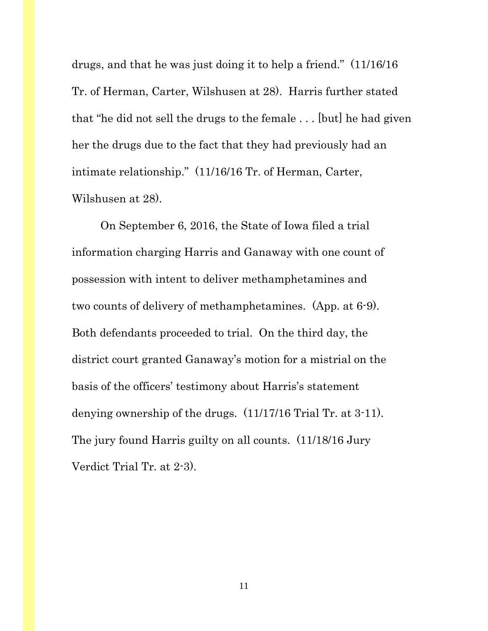drugs, and that he was just doing it to help a friend." (11/16/16 Tr. of Herman, Carter, Wilshusen at 28). Harris further stated that "he did not sell the drugs to the female . . . [but] he had given her the drugs due to the fact that they had previously had an intimate relationship." (11/16/16 Tr. of Herman, Carter, Wilshusen at 28).

On September 6, 2016, the State of Iowa filed a trial information charging Harris and Ganaway with one count of possession with intent to deliver methamphetamines and two counts of delivery of methamphetamines. (App. at 6-9). Both defendants proceeded to trial. On the third day, the district court granted Ganaway's motion for a mistrial on the basis of the officers' testimony about Harris's statement denying ownership of the drugs. (11/17/16 Trial Tr. at 3-11). The jury found Harris guilty on all counts. (11/18/16 Jury Verdict Trial Tr. at 2-3).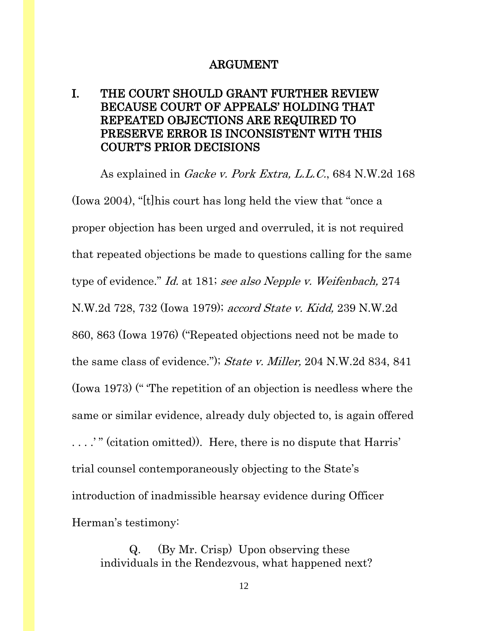#### ARGUMENT

## I. THE COURT SHOULD GRANT FURTHER REVIEW BECAUSE COURT OF APPEALS' HOLDING THAT REPEATED OBJECTIONS ARE REQUIRED TO PRESERVE ERROR IS INCONSISTENT WITH THIS COURT'S PRIOR DECISIONS

As explained in *Gacke v. Pork Extra, L.L.C.*, 684 N.W.2d 168 (Iowa 2004), "[t]his court has long held the view that "once a proper objection has been urged and overruled, it is not required that repeated objections be made to questions calling for the same type of evidence." Id. at 181; see also [Nepple v. Weifenbach,](https://1.next.westlaw.com/Link/Document/FullText?findType=Y&serNum=1979104229&pubNum=0000595&originatingDoc=Ia140f112ff7311d983e7e9deff98dc6f&refType=RP&fi=co_pp_sp_595_732&originationContext=document&transitionType=DocumentItem&contextData=(sc.DocLink)#co_pp_sp_595_732) 274 [N.W.2d 728, 732 \(Iowa 1979\);](https://1.next.westlaw.com/Link/Document/FullText?findType=Y&serNum=1979104229&pubNum=0000595&originatingDoc=Ia140f112ff7311d983e7e9deff98dc6f&refType=RP&fi=co_pp_sp_595_732&originationContext=document&transitionType=DocumentItem&contextData=(sc.DocLink)#co_pp_sp_595_732) *accord State v. Kidd*, 239 N.W.2d [860, 863 \(Iowa 1976\)](https://1.next.westlaw.com/Link/Document/FullText?findType=Y&serNum=1976108440&pubNum=0000595&originatingDoc=Ia140f112ff7311d983e7e9deff98dc6f&refType=RP&fi=co_pp_sp_595_863&originationContext=document&transitionType=DocumentItem&contextData=(sc.DocLink)#co_pp_sp_595_863) ("Repeated objections need not be made to the same class of evidence."); State v. Miller, [204 N.W.2d 834, 841](https://1.next.westlaw.com/Link/Document/FullText?findType=Y&serNum=1973116712&pubNum=0000595&originatingDoc=Ia140f112ff7311d983e7e9deff98dc6f&refType=RP&fi=co_pp_sp_595_841&originationContext=document&transitionType=DocumentItem&contextData=(sc.DocLink)#co_pp_sp_595_841)  [\(Iowa 1973\)](https://1.next.westlaw.com/Link/Document/FullText?findType=Y&serNum=1973116712&pubNum=0000595&originatingDoc=Ia140f112ff7311d983e7e9deff98dc6f&refType=RP&fi=co_pp_sp_595_841&originationContext=document&transitionType=DocumentItem&contextData=(sc.DocLink)#co_pp_sp_595_841) (" 'The repetition of an objection is needless where the same or similar evidence, already duly objected to, is again offered . . . .' " (citation omitted)). Here, there is no dispute that Harris' trial counsel contemporaneously objecting to the State's introduction of inadmissible hearsay evidence during Officer Herman's testimony:

Q. (By Mr. Crisp) Upon observing these individuals in the Rendezvous, what happened next?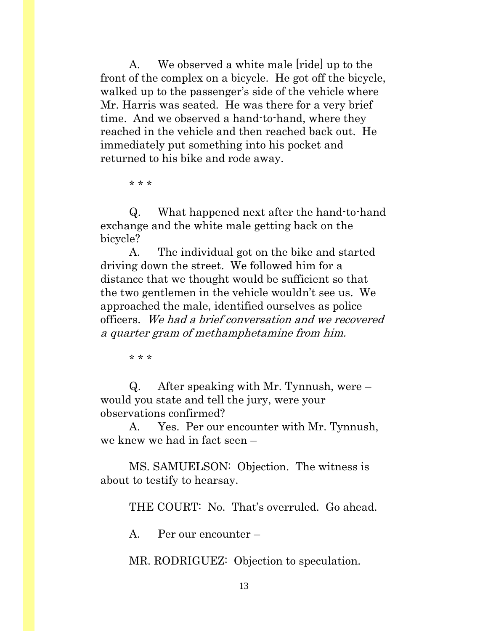A. We observed a white male [ride] up to the front of the complex on a bicycle. He got off the bicycle, walked up to the passenger's side of the vehicle where Mr. Harris was seated. He was there for a very brief time. And we observed a hand-to-hand, where they reached in the vehicle and then reached back out. He immediately put something into his pocket and returned to his bike and rode away.

\* \* \*

Q. What happened next after the hand-to-hand exchange and the white male getting back on the bicycle?

A. The individual got on the bike and started driving down the street. We followed him for a distance that we thought would be sufficient so that the two gentlemen in the vehicle wouldn't see us. We approached the male, identified ourselves as police officers. We had a brief conversation and we recovered a quarter gram of methamphetamine from him.

\* \* \*

Q. After speaking with Mr. Tynnush, were – would you state and tell the jury, were your observations confirmed?

A. Yes. Per our encounter with Mr. Tynnush, we knew we had in fact seen –

MS. SAMUELSON: Objection. The witness is about to testify to hearsay.

THE COURT: No. That's overruled. Go ahead.

A. Per our encounter –

MR. RODRIGUEZ: Objection to speculation.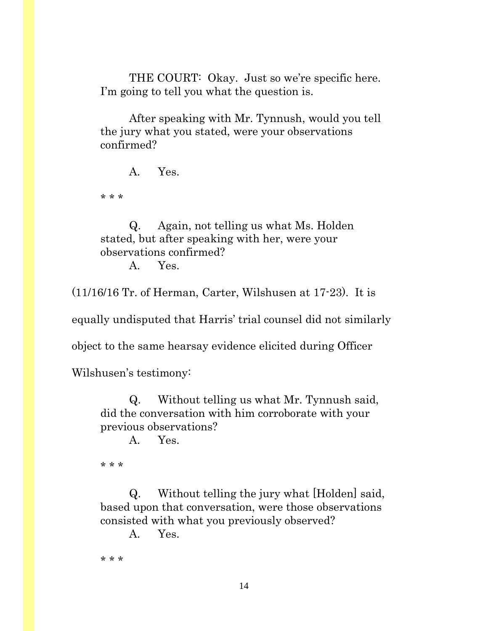THE COURT: Okay. Just so we're specific here. I'm going to tell you what the question is.

After speaking with Mr. Tynnush, would you tell the jury what you stated, were your observations confirmed?

A. Yes.

\* \* \*

Q. Again, not telling us what Ms. Holden stated, but after speaking with her, were your observations confirmed?

A. Yes.

(11/16/16 Tr. of Herman, Carter, Wilshusen at 17-23). It is

equally undisputed that Harris' trial counsel did not similarly

object to the same hearsay evidence elicited during Officer

Wilshusen's testimony:

Q. Without telling us what Mr. Tynnush said, did the conversation with him corroborate with your previous observations?

A. Yes.

\* \* \*

Q. Without telling the jury what [Holden] said, based upon that conversation, were those observations consisted with what you previously observed?

A. Yes.

\* \* \*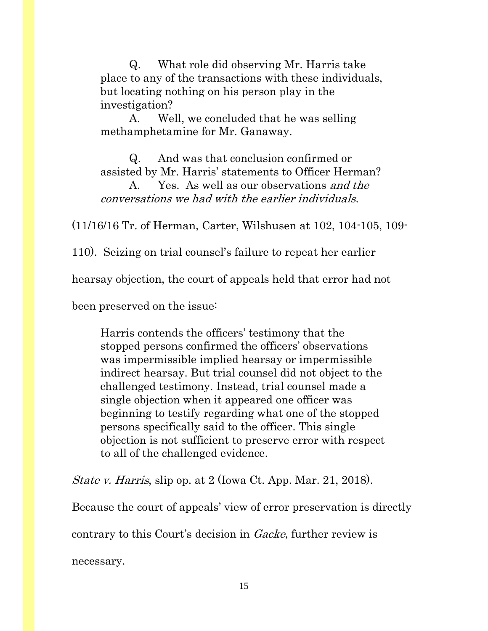Q. What role did observing Mr. Harris take place to any of the transactions with these individuals, but locating nothing on his person play in the investigation?

A. Well, we concluded that he was selling methamphetamine for Mr. Ganaway.

Q. And was that conclusion confirmed or assisted by Mr. Harris' statements to Officer Herman?

A. Yes. As well as our observations and the conversations we had with the earlier individuals.

(11/16/16 Tr. of Herman, Carter, Wilshusen at 102, 104-105, 109-

110). Seizing on trial counsel's failure to repeat her earlier

hearsay objection, the court of appeals held that error had not

been preserved on the issue:

Harris contends the officers' testimony that the stopped persons confirmed the officers' observations was impermissible implied hearsay or impermissible indirect hearsay. But trial counsel did not object to the challenged testimony. Instead, trial counsel made a single objection when it appeared one officer was beginning to testify regarding what one of the stopped persons specifically said to the officer. This single objection is not sufficient to preserve error with respect to all of the challenged evidence.

State v. Harris, slip op. at 2 (Iowa Ct. App. Mar. 21, 2018).

Because the court of appeals' view of error preservation is directly

contrary to this Court's decision in Gacke, further review is

necessary.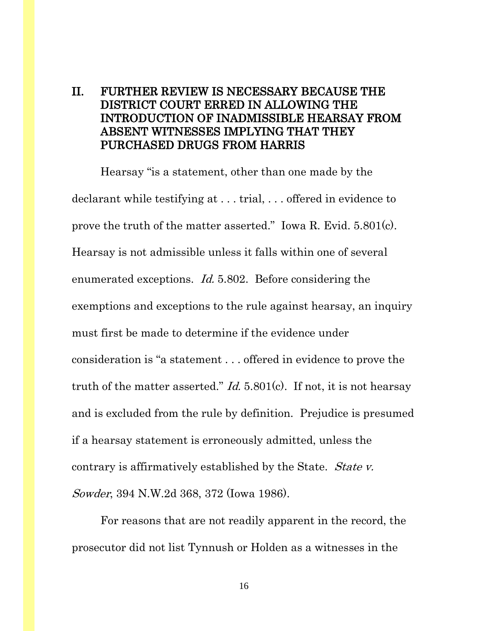### II. FURTHER REVIEW IS NECESSARY BECAUSE THE DISTRICT COURT ERRED IN ALLOWING THE INTRODUCTION OF INADMISSIBLE HEARSAY FROM ABSENT WITNESSES IMPLYING THAT THEY PURCHASED DRUGS FROM HARRIS

Hearsay "is a statement, other than one made by the declarant while testifying at . . . trial, . . . offered in evidence to prove the truth of the matter asserted." Iowa R. Evid. 5.801(c). Hearsay is not admissible unless it falls within one of several enumerated exceptions. Id. 5.802. Before considering the exemptions and exceptions to the rule against hearsay, an inquiry must first be made to determine if the evidence under consideration is "a statement . . . offered in evidence to prove the truth of the matter asserted." *Id.* 5.801(c). If not, it is not hearsay and is excluded from the rule by definition. Prejudice is presumed if a hearsay statement is erroneously admitted, unless the contrary is affirmatively established by the State. State v. Sowder, 394 N.W.2d 368, 372 (Iowa 1986).

For reasons that are not readily apparent in the record, the prosecutor did not list Tynnush or Holden as a witnesses in the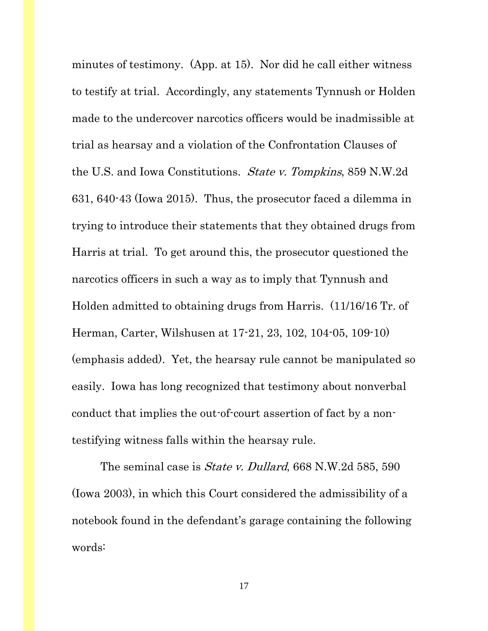minutes of testimony. (App. at 15). Nor did he call either witness to testify at trial. Accordingly, any statements Tynnush or Holden made to the undercover narcotics officers would be inadmissible at trial as hearsay and a violation of the Confrontation Clauses of the U.S. and Iowa Constitutions. State v. Tompkins, 859 N.W.2d 631, 640-43 (Iowa 2015). Thus, the prosecutor faced a dilemma in trying to introduce their statements that they obtained drugs from Harris at trial. To get around this, the prosecutor questioned the narcotics officers in such a way as to imply that Tynnush and Holden admitted to obtaining drugs from Harris. (11/16/16 Tr. of Herman, Carter, Wilshusen at 17-21, 23, 102, 104-05, 109-10) (emphasis added). Yet, the hearsay rule cannot be manipulated so easily. Iowa has long recognized that testimony about nonverbal conduct that implies the out-of-court assertion of fact by a nontestifying witness falls within the hearsay rule.

The seminal case is *State v. Dullard*, 668 N.W.2d 585, 590 (Iowa 2003), in which this Court considered the admissibility of a notebook found in the defendant's garage containing the following words: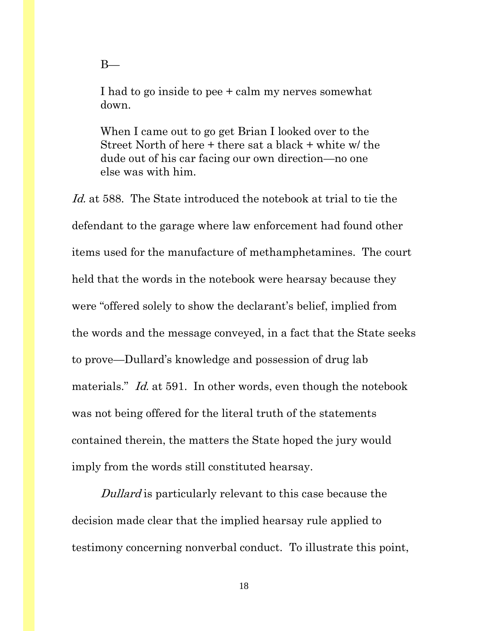I had to go inside to pee + calm my nerves somewhat down.

When I came out to go get Brian I looked over to the Street North of here + there sat a black + white w/ the dude out of his car facing our own direction—no one else was with him.

Id. at 588. The State introduced the notebook at trial to tie the defendant to the garage where law enforcement had found other items used for the manufacture of methamphetamines. The court held that the words in the notebook were hearsay because they were "offered solely to show the declarant's belief, implied from the words and the message conveyed, in a fact that the State seeks to prove—Dullard's knowledge and possession of drug lab materials." *Id.* at 591. In other words, even though the notebook was not being offered for the literal truth of the statements contained therein, the matters the State hoped the jury would imply from the words still constituted hearsay.

Dullard is particularly relevant to this case because the decision made clear that the implied hearsay rule applied to testimony concerning nonverbal conduct. To illustrate this point,

 $B-$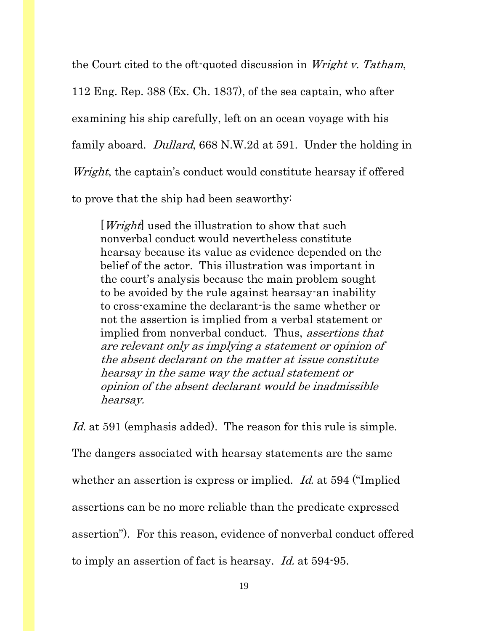the Court cited to the oft-quoted discussion in Wright v. Tatham,

112 Eng. Rep. 388 (Ex. Ch. 1837), of the sea captain, who after

examining his ship carefully, left on an ocean voyage with his

family aboard. *Dullard*, 668 N.W.2d at 591. Under the holding in

Wright, the captain's conduct would constitute hearsay if offered

to prove that the ship had been seaworthy:

[*Wright*] used the illustration to show that such nonverbal conduct would nevertheless constitute hearsay because its value as evidence depended on the belief of the actor. This illustration was important in the court's analysis because the main problem sought to be avoided by the rule against hearsay-an inability to cross-examine the declarant-is the same whether or not the assertion is implied from a verbal statement or implied from nonverbal conduct. Thus, assertions that are relevant only as implying a statement or opinion of the absent declarant on the matter at issue constitute hearsay in the same way the actual statement or opinion of the absent declarant would be inadmissible hearsay.

Id. at 591 (emphasis added). The reason for this rule is simple. The dangers associated with hearsay statements are the same whether an assertion is express or implied. *Id.* at 594 ("Implied") assertions can be no more reliable than the predicate expressed assertion"). For this reason, evidence of nonverbal conduct offered to imply an assertion of fact is hearsay. Id. at 594-95.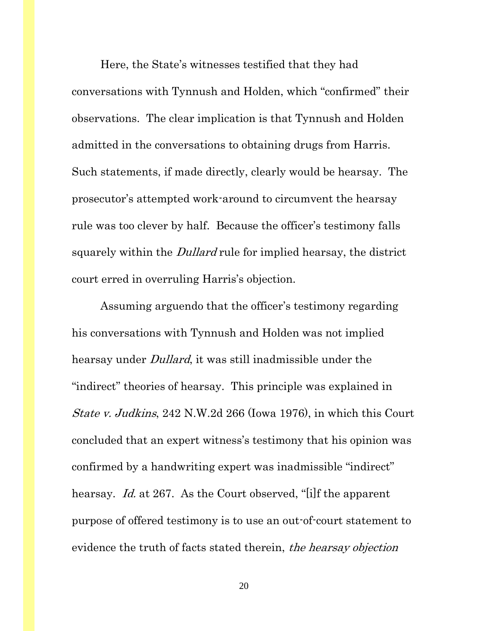Here, the State's witnesses testified that they had conversations with Tynnush and Holden, which "confirmed" their observations. The clear implication is that Tynnush and Holden admitted in the conversations to obtaining drugs from Harris. Such statements, if made directly, clearly would be hearsay. The prosecutor's attempted work-around to circumvent the hearsay rule was too clever by half. Because the officer's testimony falls squarely within the *Dullard* rule for implied hearsay, the district court erred in overruling Harris's objection.

Assuming arguendo that the officer's testimony regarding his conversations with Tynnush and Holden was not implied hearsay under *Dullard*, it was still inadmissible under the "indirect" theories of hearsay. This principle was explained in State v. Judkins, 242 N.W.2d 266 (Iowa 1976), in which this Court concluded that an expert witness's testimony that his opinion was confirmed by a handwriting expert was inadmissible "indirect" hearsay. Id. at 267. As the Court observed, "[i]f the apparent purpose of offered testimony is to use an out-of-court statement to evidence the truth of facts stated therein, the hearsay objection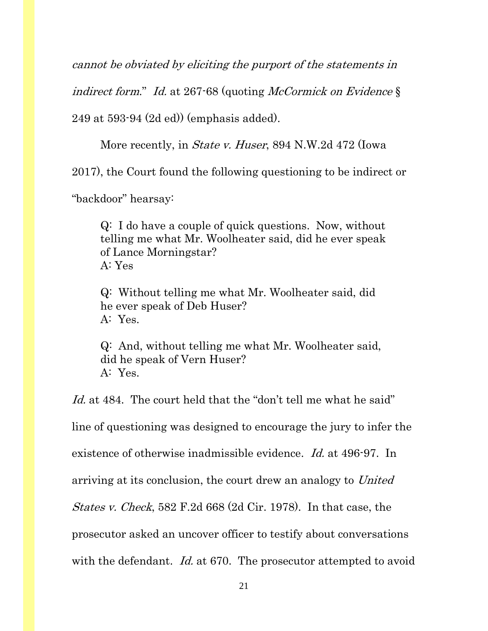cannot be obviated by eliciting the purport of the statements in

indirect form." Id. at 267-68 (quoting McCormick on Evidence  $\S$ )

249 at 593-94 (2d ed)) (emphasis added).

More recently, in *State v. Huser*, 894 N.W.2d 472 (Iowa

2017), the Court found the following questioning to be indirect or

"backdoor" hearsay:

Q: I do have a couple of quick questions. Now, without telling me what Mr. Woolheater said, did he ever speak of Lance Morningstar? A: Yes

Q: Without telling me what Mr. Woolheater said, did he ever speak of Deb Huser? A: Yes.

Q: And, without telling me what Mr. Woolheater said, did he speak of Vern Huser? A: Yes.

Id. at 484. The court held that the "don't tell me what he said" line of questioning was designed to encourage the jury to infer the existence of otherwise inadmissible evidence. Id. at 496-97. In arriving at its conclusion, the court drew an analogy to United States v. Check, 582 F.2d 668 (2d Cir. 1978). In that case, the prosecutor asked an uncover officer to testify about conversations with the defendant. *Id.* at 670. The prosecutor attempted to avoid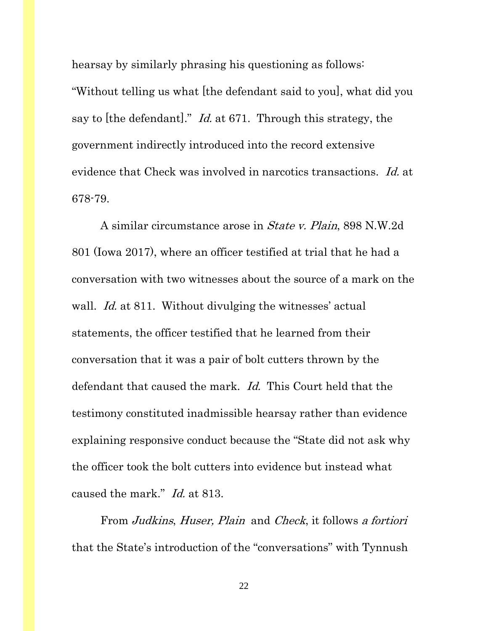hearsay by similarly phrasing his questioning as follows: "Without telling us what [the defendant said to you], what did you say to [the defendant]." *Id.* at 671. Through this strategy, the government indirectly introduced into the record extensive evidence that Check was involved in narcotics transactions. Id. at 678-79.

A similar circumstance arose in State v. Plain, 898 N.W.2d 801 (Iowa 2017), where an officer testified at trial that he had a conversation with two witnesses about the source of a mark on the wall. *Id.* at 811. Without divulging the witnesses' actual statements, the officer testified that he learned from their conversation that it was a pair of bolt cutters thrown by the defendant that caused the mark. *Id.* This Court held that the testimony constituted inadmissible hearsay rather than evidence explaining responsive conduct because the "State did not ask why the officer took the bolt cutters into evidence but instead what caused the mark." Id. at 813.

From Judkins, Huser, Plain and Check, it follows a fortiori that the State's introduction of the "conversations" with Tynnush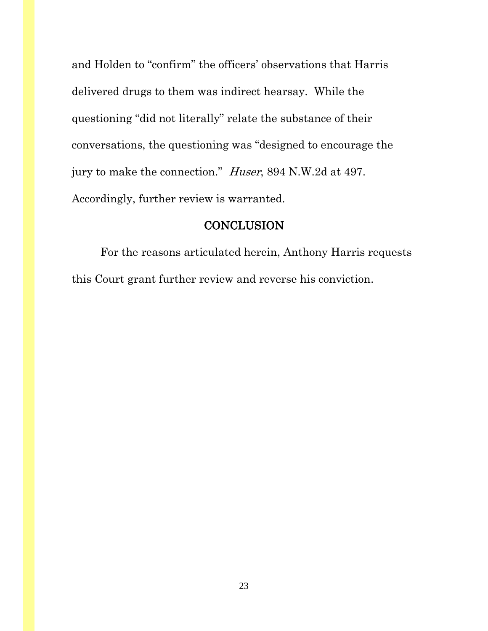and Holden to "confirm" the officers' observations that Harris delivered drugs to them was indirect hearsay. While the questioning "did not literally" relate the substance of their conversations, the questioning was "designed to encourage the jury to make the connection." Huser, 894 N.W.2d at 497. Accordingly, further review is warranted.

### **CONCLUSION**

 For the reasons articulated herein, Anthony Harris requests this Court grant further review and reverse his conviction.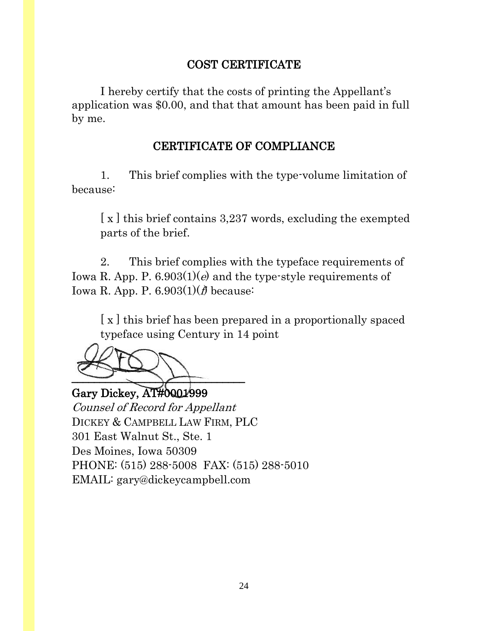## COST CERTIFICATE

I hereby certify that the costs of printing the Appellant's application was \$0.00, and that that amount has been paid in full by me.

### CERTIFICATE OF COMPLIANCE

1. This brief complies with the type-volume limitation of because:

[x] this brief contains 3,237 words, excluding the exempted parts of the brief.

2. This brief complies with the typeface requirements of Iowa R. App. P.  $6.903(1)(e)$  and the type-style requirements of Iowa R. App. P.  $6.903(1)(f)$  because:

[x] this brief has been prepared in a proportionally spaced typeface using Century in 14 point

 $\rightarrow$ 

Gary Dickey, AT#0001999 Counsel of Record for Appellant DICKEY & CAMPBELL LAW FIRM, PLC 301 East Walnut St., Ste. 1 Des Moines, Iowa 50309 PHONE: (515) 288-5008 FAX: (515) 288-5010 EMAIL: gary@dickeycampbell.com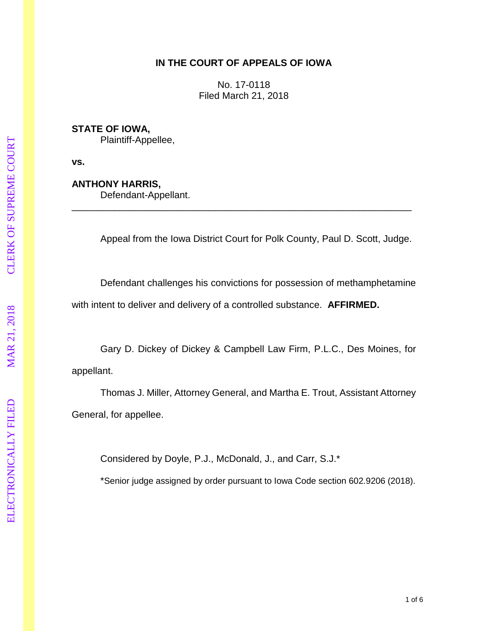#### **IN THE COURT OF APPEALS OF IOWA**

No. 17 -0118 Filed March 21, 2018

**STATE OF IOWA,**

Plaintiff -Appellee,

**vs.**

#### **ANTHONY HARRIS ,**

Defendant -Appellant.

Appeal from the Iowa District Court for Polk County, Paul D. Scott, Judge.

Defendant challenges his conviction s for possession of methamphetamine

\_\_\_\_\_\_\_\_\_\_\_\_\_\_\_\_\_\_\_\_\_\_\_\_\_\_\_\_\_\_\_\_\_\_\_\_\_\_\_\_\_\_\_\_\_\_\_\_\_\_\_\_\_\_\_\_\_\_\_\_\_\_\_\_

with intent to deliver and delivery of a controlled substance. **AFFIRMED.**

Gary D. Dickey of Dickey & Campbell Law Firm, P . L . C ., Des Moines, for appellant.

Thomas J. Miller, Attorney General, and Martha E. Trout, Assistant Attorney General, for appellee.

Considered by Doyle, P.J., McDonald, J., and Carr, S.J.\*

\*Senior judge assigned by order pursuant to Iowa Code section 602.9206 (2018).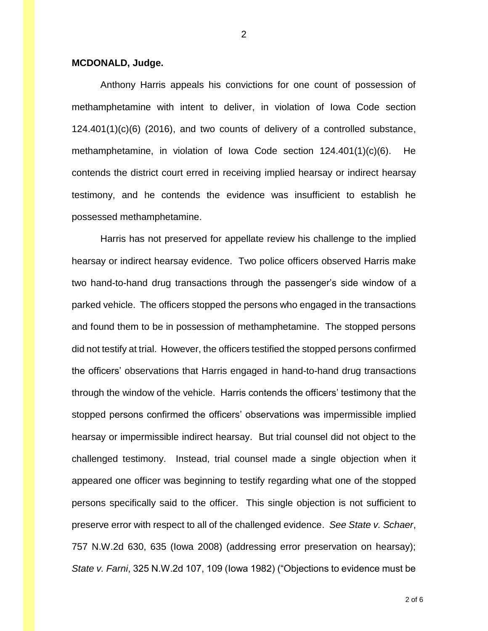#### **MCDONALD, Judge.**

Anthony Harris appeals his convictions for one count of possession of methamphetamine with intent to deliver, in violation of Iowa Code section 124.401(1)(c)(6) (2016), and two counts of delivery of a controlled substance, methamphetamine, in violation of Iowa Code section 124.401(1)(c)(6). He contends the district court erred in receiving implied hearsay or indirect hearsay testimony, and he contends the evidence was insufficient to establish he possessed methamphetamine.

Harris has not preserved for appellate review his challenge to the implied hearsay or indirect hearsay evidence. Two police officers observed Harris make two hand-to-hand drug transactions through the passenger's side window of a parked vehicle. The officers stopped the persons who engaged in the transactions and found them to be in possession of methamphetamine. The stopped persons did not testify at trial. However, the officers testified the stopped persons confirmed the officers' observations that Harris engaged in hand-to-hand drug transactions through the window of the vehicle. Harris contends the officers' testimony that the stopped persons confirmed the officers' observations was impermissible implied hearsay or impermissible indirect hearsay. But trial counsel did not object to the challenged testimony. Instead, trial counsel made a single objection when it appeared one officer was beginning to testify regarding what one of the stopped persons specifically said to the officer. This single objection is not sufficient to preserve error with respect to all of the challenged evidence. *See State v. Schaer*, 757 N.W.2d 630, 635 (Iowa 2008) (addressing error preservation on hearsay); *State v. Farni*, 325 N.W.2d 107, 109 (Iowa 1982) ("Objections to evidence must be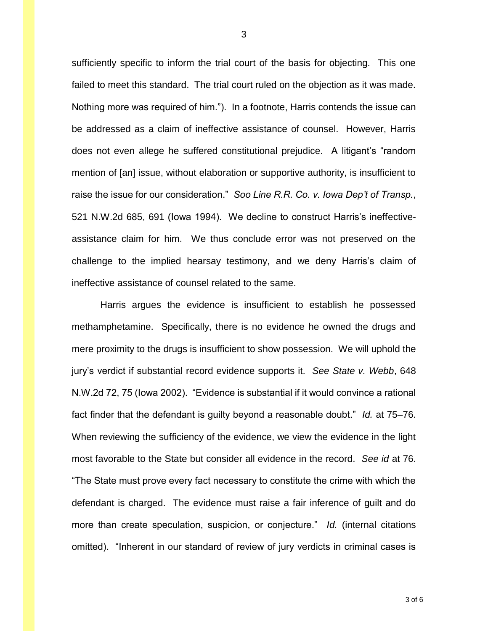sufficiently specific to inform the trial court of the basis for objecting. This one failed to meet this standard. The trial court ruled on the objection as it was made. Nothing more was required of him."). In a footnote, Harris contends the issue can be addressed as a claim of ineffective assistance of counsel. However, Harris does not even allege he suffered constitutional prejudice. A litigant's "random mention of [an] issue, without elaboration or supportive authority, is insufficient to raise the issue for our consideration." *Soo Line R.R. Co. v. Iowa Dep't of Transp.*, 521 N.W.2d 685, 691 (Iowa 1994). We decline to construct Harris's ineffectiveassistance claim for him. We thus conclude error was not preserved on the challenge to the implied hearsay testimony, and we deny Harris's claim of ineffective assistance of counsel related to the same.

Harris argues the evidence is insufficient to establish he possessed methamphetamine. Specifically, there is no evidence he owned the drugs and mere proximity to the drugs is insufficient to show possession. We will uphold the jury's verdict if substantial record evidence supports it. *See State v. Webb*, 648 N.W.2d 72, 75 (Iowa 2002). "Evidence is substantial if it would convince a rational fact finder that the defendant is guilty beyond a reasonable doubt." *Id.* at 75–76. When reviewing the sufficiency of the evidence, we view the evidence in the light most favorable to the State but consider all evidence in the record. *See id* at 76. "The State must prove every fact necessary to constitute the crime with which the defendant is charged. The evidence must raise a fair inference of guilt and do more than create speculation, suspicion, or conjecture." *Id.* (internal citations omitted). "Inherent in our standard of review of jury verdicts in criminal cases is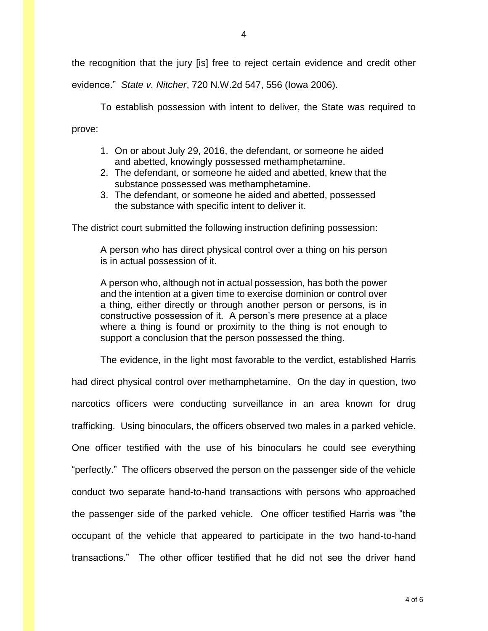the recognition that the jury [is] free to reject certain evidence and credit other

evidence." *State v. Nitcher*, 720 N.W.2d 547, 556 (Iowa 2006).

To establish possession with intent to deliver, the State was required to prove:

- 1. On or about July 29, 2016, the defendant, or someone he aided and abetted, knowingly possessed methamphetamine.
- 2. The defendant, or someone he aided and abetted, knew that the substance possessed was methamphetamine.
- 3. The defendant, or someone he aided and abetted, possessed the substance with specific intent to deliver it.

The district court submitted the following instruction defining possession:

A person who has direct physical control over a thing on his person is in actual possession of it.

A person who, although not in actual possession, has both the power and the intention at a given time to exercise dominion or control over a thing, either directly or through another person or persons, is in constructive possession of it. A person's mere presence at a place where a thing is found or proximity to the thing is not enough to support a conclusion that the person possessed the thing.

The evidence, in the light most favorable to the verdict, established Harris

had direct physical control over methamphetamine. On the day in question, two narcotics officers were conducting surveillance in an area known for drug trafficking. Using binoculars, the officers observed two males in a parked vehicle. One officer testified with the use of his binoculars he could see everything "perfectly." The officers observed the person on the passenger side of the vehicle conduct two separate hand-to-hand transactions with persons who approached the passenger side of the parked vehicle. One officer testified Harris was "the occupant of the vehicle that appeared to participate in the two hand-to-hand transactions." The other officer testified that he did not see the driver hand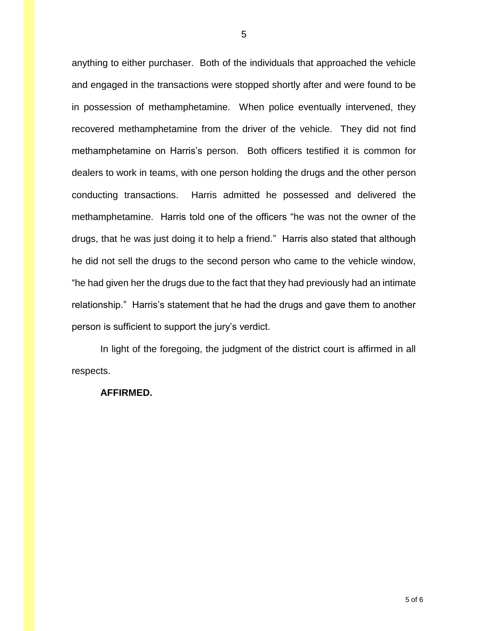anything to either purchaser. Both of the individuals that approached the vehicle and engaged in the transactions were stopped shortly after and were found to be in possession of methamphetamine. When police eventually intervened, they recovered methamphetamine from the driver of the vehicle. They did not find methamphetamine on Harris's person. Both officers testified it is common for dealers to work in teams, with one person holding the drugs and the other person conducting transactions. Harris admitted he possessed and delivered the methamphetamine. Harris told one of the officers "he was not the owner of the drugs, that he was just doing it to help a friend." Harris also stated that although he did not sell the drugs to the second person who came to the vehicle window, "he had given her the drugs due to the fact that they had previously had an intimate relationship." Harris's statement that he had the drugs and gave them to another person is sufficient to support the jury's verdict.

In light of the foregoing, the judgment of the district court is affirmed in all respects.

#### **AFFIRMED.**